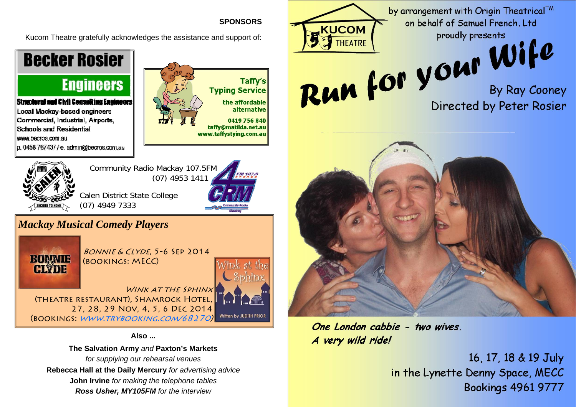

Also ...

The Salvation Army and Paxton's Markets

for supplying our rehearsal venues Rebecca Hall at the Daily Mercury for advertising advice

John Irvine for making the telephone tables

Ross Usher, MY105FM for the interview

One London cabbie - two wives A very wild ride!

16, 17, 18 & 19 July in the Lynette Denny Space, MECC **Bookings 4961 9777**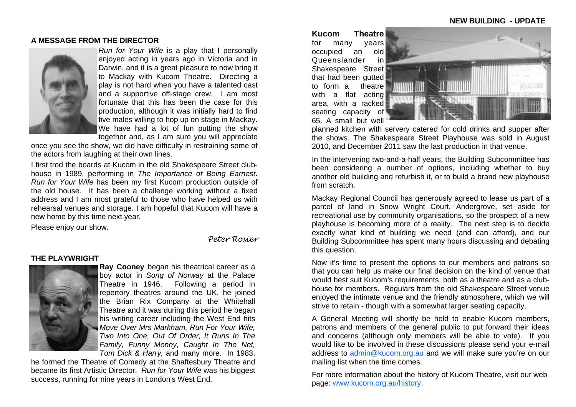# **A MESSAGE FROM THE DIRECTOR**



*Run for Your Wife* is a play that I personally enjoyed acting in years ago in Victoria and in Darwin, and it is a great pleasure to now bring it to Mackay with Kucom Theatre. Directing a play is not hard when you have a talented cast and a supportive off-stage crew. I am most fortunate that this has been the case for this production, although it was initially hard to find five males willing to hop up on stage in Mackay. We have had a lot of fun putting the show together and, as I am sure you will appreciate

once you see the show, we did have difficulty in restraining some of the actors from laughing at their own lines.

I first trod the boards at Kucom in the old Shakespeare Street clubhouse in 1989, performing in *The Importance of Being Earnest*. *Run for Your Wife* has been my first Kucom production outside of the old house. It has been a challenge working without a fixed address and I am most grateful to those who have helped us with rehearsal venues and storage. I am hopeful that Kucom will have a new home by this time next year.

Please enjoy our show.

*Peter Rosier* 

# **THE PLAYWRIGHT**



**Ray Cooney** began his theatrical career as a boy actor in *Song of Norway* at the Palace Theatre in 1946. Following a period in repertory theatres around the UK, he joined the Brian Rix Company at the Whitehall Theatre and it was during this period he began his writing career including the West End hits *Move Over Mrs Markham, Run For Your Wife, Two Into One, Out Of Order, It Runs In The Family, Funny Money, Caught In The Net, Tom Dick & Harry,* and many more. In 1983,

he formed the Theatre of Comedy at the Shaftesbury Theatre and became its first Artistic Director. *Run for Your Wife* was his biggest success, running for nine years in London's West End.

**Kucom Theatre** for many years occupied an old Queenslander in Shakespeare Street that had been gutted to form a theatre with a flat acting area, with a racked seating capacity of 65. A small but well



planned kitchen with servery catered for cold drinks and supper after the shows. The Shakespeare Street Playhouse was sold in August 2010, and December 2011 saw the last production in that venue.

In the intervening two-and-a-half years, the Building Subcommittee has been considering a number of options, including whether to buy another old building and refurbish it, or to build a brand new playhouse from scratch.

Mackay Regional Council has generously agreed to lease us part of a parcel of land in Snow Wright Court, Andergrove, set aside for recreational use by community organisations, so the prospect of a new playhouse is becoming more of a reality. The next step is to decide exactly what kind of building we need (and can afford), and our Building Subcommittee has spent many hours discussing and debating this question.

Now it's time to present the options to our members and patrons so that you can help us make our final decision on the kind of venue that would best suit Kucom's requirements, both as a theatre and as a clubhouse for members. Regulars from the old Shakespeare Street venue enjoyed the intimate venue and the friendly atmosphere, which we will strive to retain - though with a somewhat larger seating capacity.

A General Meeting will shortly be held to enable Kucom members, patrons and members of the general public to put forward their ideas and concerns (although only members will be able to vote). If you would like to be involved in these discussions please send your e-mail address to admin@kucom.org.au and we will make sure you're on our mailing list when the time comes.

For more information about the history of Kucom Theatre, visit our web page: www.kucom.org.au/history.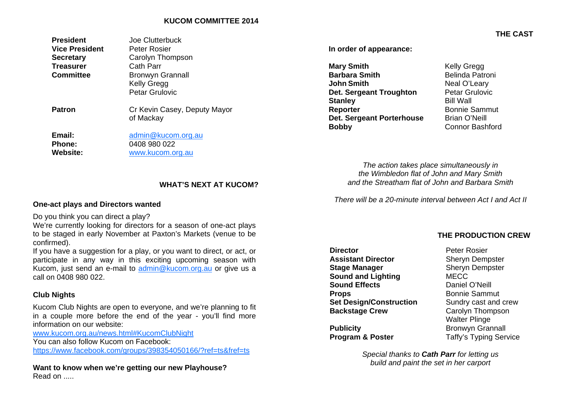# **KUCOM COMMITTEE 2014**

| <b>President</b><br><b>Vice President</b><br><b>Secretary</b><br><b>Treasurer</b><br><b>Committee</b> | Joe Clutterbuck<br>Peter Rosier<br>Carolyn Thompson<br>Cath Parr<br><b>Bronwyn Grannall</b><br><b>Kelly Gregg</b><br><b>Petar Grulovic</b> |
|-------------------------------------------------------------------------------------------------------|--------------------------------------------------------------------------------------------------------------------------------------------|
| <b>Patron</b>                                                                                         | Cr Kevin Casey, Deputy Mayor<br>of Mackay                                                                                                  |
| Email:<br><b>Phone:</b><br><b>Website:</b>                                                            | admin@kucom.org.au<br>0408 980 022<br>www.kucom.org.au                                                                                     |

**In order of appearance:** 

| <b>Mary Smith</b>         | <b>Kelly Gregg</b>     |
|---------------------------|------------------------|
| <b>Barbara Smith</b>      | Belinda Patroni        |
| <b>John Smith</b>         | Neal O'Leary           |
| Det. Sergeant Troughton   | Petar Grulovic         |
| <b>Stanley</b>            | <b>Bill Wall</b>       |
| Reporter                  | <b>Bonnie Sammut</b>   |
| Det. Sergeant Porterhouse | <b>Brian O'Neill</b>   |
| <b>Bobby</b>              | <b>Connor Bashford</b> |

*The action takes place simultaneously in the Wimbledon flat of John and Mary Smith and the Streatham flat of John and Barbara Smith*

*There will be a 20-minute interval between Act I and Act II* 

## **WHAT'S NEXT AT KUCOM?**

### **One-act plays and Directors wanted**

Do you think you can direct a play?

We're currently looking for directors for a season of one-act plays to be staged in early November at Paxton's Markets (venue to be confirmed).

If you have a suggestion for a play, or you want to direct, or act, or participate in any way in this exciting upcoming season with Kucom, just send an e-mail to admin@kucom.org.au or give us a call on 0408 980 022.

# **Club Nights**

Kucom Club Nights are open to everyone, and we're planning to fit in a couple more before the end of the year - you'll find more information on our website:

www.kucom.org.au/news.html#KucomClubNight

You can also follow Kucom on Facebook:

https://www.facebook.com/groups/398354050166/?ref=ts&fref=ts

**Want to know when we're getting our new Playhouse?**  Read on .....

# **THE PRODUCTION CREW**

**Director Director Peter Rosier Assistant Director Sheryn Dempster Stage Manager Sheryn Dempster Sound and Lighting** MECC **Sound Effects** Daniel O'Neill **Props** Bonnie Sammut **Set Design/Construction** Sundry cast and crew **Backstage Crew Carolyn Thompson** 

Walter Plinge **Publicity Bronwyn Grannall Program & Poster Taffy's Typing Service** 

> *Special thanks to Cath Parr for letting us build and paint the set in her carport*